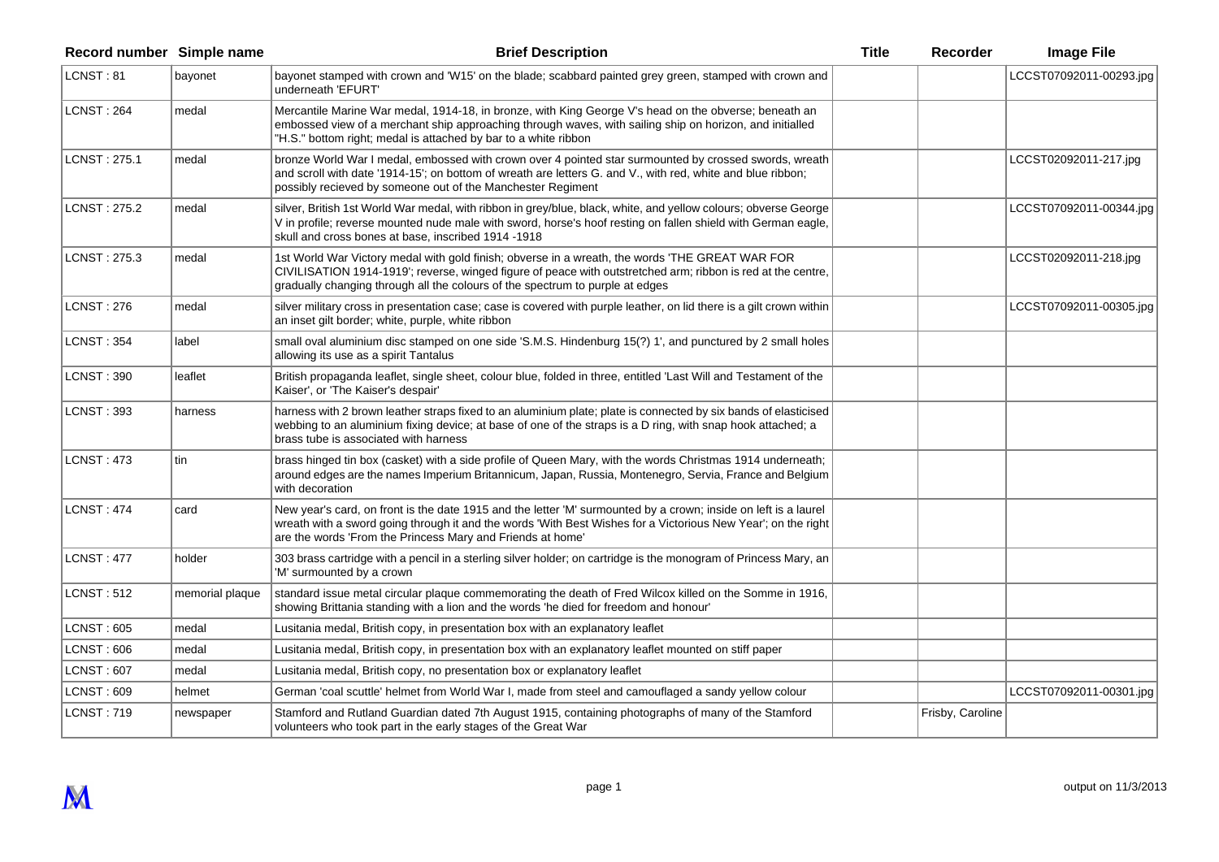| Record number Simple name |                 | <b>Brief Description</b>                                                                                                                                                                                                                                                                         | <b>Title</b> | <b>Recorder</b>  | <b>Image File</b>       |
|---------------------------|-----------------|--------------------------------------------------------------------------------------------------------------------------------------------------------------------------------------------------------------------------------------------------------------------------------------------------|--------------|------------------|-------------------------|
| LCNST: 81                 | bayonet         | bayonet stamped with crown and 'W15' on the blade; scabbard painted grey green, stamped with crown and<br>underneath 'EFURT'                                                                                                                                                                     |              |                  | LCCST07092011-00293.jpg |
| <b>LCNST: 264</b>         | medal           | Mercantile Marine War medal, 1914-18, in bronze, with King George V's head on the obverse; beneath an<br>embossed view of a merchant ship approaching through waves, with sailing ship on horizon, and initialled<br>"H.S." bottom right; medal is attached by bar to a white ribbon             |              |                  |                         |
| LCNST: 275.1              | medal           | bronze World War I medal, embossed with crown over 4 pointed star surmounted by crossed swords, wreath<br>and scroll with date '1914-15'; on bottom of wreath are letters G. and V., with red, white and blue ribbon;<br>possibly recieved by someone out of the Manchester Regiment             |              |                  | LCCST02092011-217.jpg   |
| LCNST: 275.2              | medal           | silver, British 1st World War medal, with ribbon in grey/blue, black, white, and yellow colours; obverse George<br>V in profile; reverse mounted nude male with sword, horse's hoof resting on fallen shield with German eagle,<br>skull and cross bones at base, inscribed 1914 -1918           |              |                  | LCCST07092011-00344.jpg |
| LCNST: 275.3              | medal           | 1st World War Victory medal with gold finish; obverse in a wreath, the words 'THE GREAT WAR FOR<br>CIVILISATION 1914-1919'; reverse, winged figure of peace with outstretched arm; ribbon is red at the centre,<br>gradually changing through all the colours of the spectrum to purple at edges |              |                  | LCCST02092011-218.jpg   |
| LCNST: 276                | medal           | silver military cross in presentation case; case is covered with purple leather, on lid there is a gilt crown within<br>an inset gilt border; white, purple, white ribbon                                                                                                                        |              |                  | LCCST07092011-00305.jpg |
| <b>LCNST: 354</b>         | label           | small oval aluminium disc stamped on one side 'S.M.S. Hindenburg 15(?) 1', and punctured by 2 small holes<br>allowing its use as a spirit Tantalus                                                                                                                                               |              |                  |                         |
| LCNST : 390               | leaflet         | British propaganda leaflet, single sheet, colour blue, folded in three, entitled 'Last Will and Testament of the<br>Kaiser', or 'The Kaiser's despair'                                                                                                                                           |              |                  |                         |
| <b>LCNST: 393</b>         | harness         | harness with 2 brown leather straps fixed to an aluminium plate; plate is connected by six bands of elasticised<br>webbing to an aluminium fixing device; at base of one of the straps is a D ring, with snap hook attached; a<br>brass tube is associated with harness                          |              |                  |                         |
| <b>LCNST: 473</b>         | tin             | brass hinged tin box (casket) with a side profile of Queen Mary, with the words Christmas 1914 underneath;<br>around edges are the names Imperium Britannicum, Japan, Russia, Montenegro, Servia, France and Belgium<br>with decoration                                                          |              |                  |                         |
| <b>LCNST: 474</b>         | card            | New year's card, on front is the date 1915 and the letter 'M' surmounted by a crown; inside on left is a laurel<br>wreath with a sword going through it and the words 'With Best Wishes for a Victorious New Year'; on the right<br>are the words 'From the Princess Mary and Friends at home'   |              |                  |                         |
| <b>LCNST: 477</b>         | holder          | 303 brass cartridge with a pencil in a sterling silver holder; on cartridge is the monogram of Princess Mary, an<br>'M' surmounted by a crown                                                                                                                                                    |              |                  |                         |
| <b>LCNST: 512</b>         | memorial plaque | standard issue metal circular plaque commemorating the death of Fred Wilcox killed on the Somme in 1916,<br>showing Brittania standing with a lion and the words 'he died for freedom and honour'                                                                                                |              |                  |                         |
| LCNST: 605                | medal           | Lusitania medal, British copy, in presentation box with an explanatory leaflet                                                                                                                                                                                                                   |              |                  |                         |
| <b>LCNST: 606</b>         | medal           | Lusitania medal, British copy, in presentation box with an explanatory leaflet mounted on stiff paper                                                                                                                                                                                            |              |                  |                         |
| <b>LCNST: 607</b>         | medal           | Lusitania medal, British copy, no presentation box or explanatory leaflet                                                                                                                                                                                                                        |              |                  |                         |
| <b>LCNST: 609</b>         | helmet          | German 'coal scuttle' helmet from World War I, made from steel and camouflaged a sandy yellow colour                                                                                                                                                                                             |              |                  | LCCST07092011-00301.jpg |
| <b>LCNST: 719</b>         | newspaper       | Stamford and Rutland Guardian dated 7th August 1915, containing photographs of many of the Stamford<br>volunteers who took part in the early stages of the Great War                                                                                                                             |              | Frisby, Caroline |                         |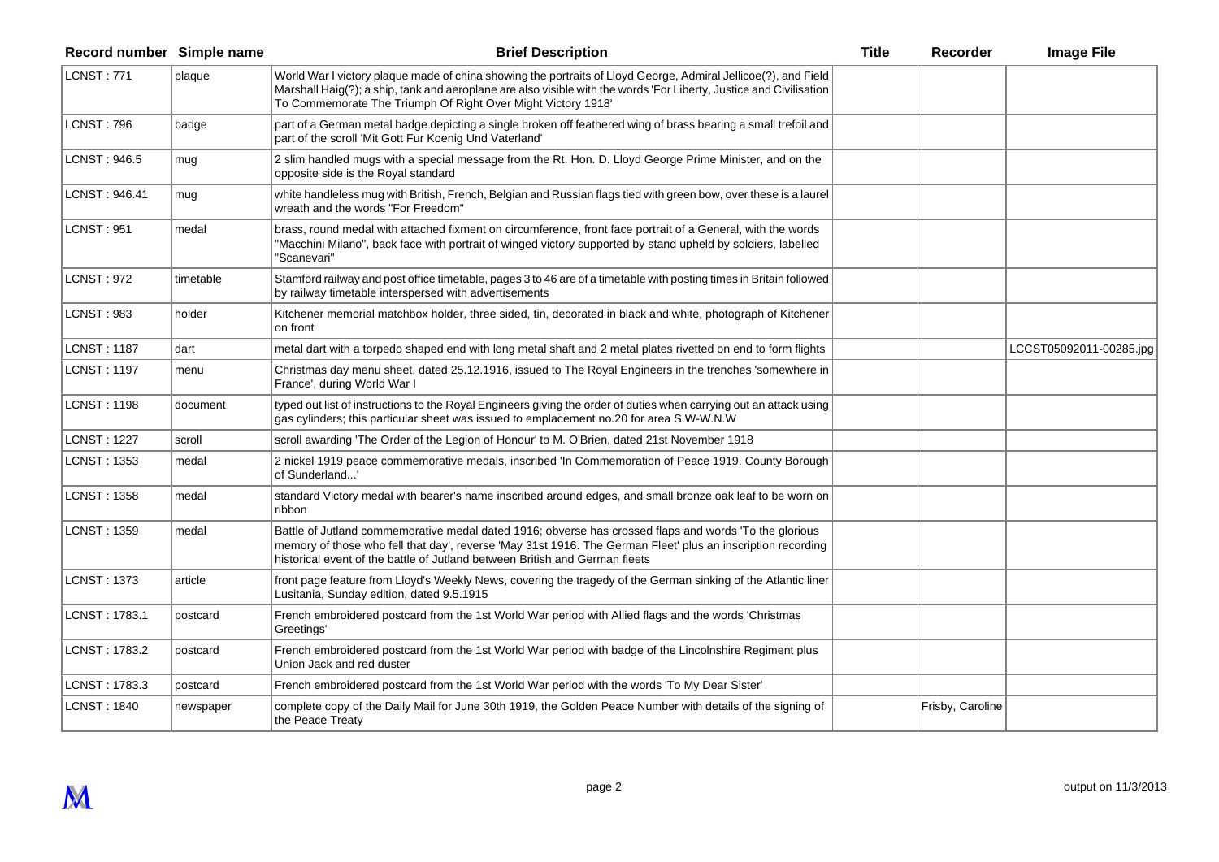| Record number Simple name |           | <b>Brief Description</b>                                                                                                                                                                                                                                                                              | <b>Title</b> | Recorder         | <b>Image File</b>       |
|---------------------------|-----------|-------------------------------------------------------------------------------------------------------------------------------------------------------------------------------------------------------------------------------------------------------------------------------------------------------|--------------|------------------|-------------------------|
| LCNST: 771                | plaque    | World War I victory plaque made of china showing the portraits of Lloyd George, Admiral Jellicoe(?), and Field<br>Marshall Haig(?); a ship, tank and aeroplane are also visible with the words 'For Liberty, Justice and Civilisation<br>To Commemorate The Triumph Of Right Over Might Victory 1918' |              |                  |                         |
| <b>LCNST: 796</b>         | badge     | part of a German metal badge depicting a single broken off feathered wing of brass bearing a small trefoil and<br>part of the scroll 'Mit Gott Fur Koenig Und Vaterland'                                                                                                                              |              |                  |                         |
| LCNST: 946.5              | mug       | 2 slim handled mugs with a special message from the Rt. Hon. D. Lloyd George Prime Minister, and on the<br>opposite side is the Royal standard                                                                                                                                                        |              |                  |                         |
| LCNST: 946.41             | mug       | white handleless mug with British, French, Belgian and Russian flags tied with green bow, over these is a laurel<br>wreath and the words "For Freedom"                                                                                                                                                |              |                  |                         |
| <b>LCNST: 951</b>         | medal     | brass, round medal with attached fixment on circumference, front face portrait of a General, with the words<br>"Macchini Milano", back face with portrait of winged victory supported by stand upheld by soldiers, labelled<br>'Scanevari"                                                            |              |                  |                         |
| <b>LCNST: 972</b>         | timetable | Stamford railway and post office timetable, pages 3 to 46 are of a timetable with posting times in Britain followed<br>by railway timetable interspersed with advertisements                                                                                                                          |              |                  |                         |
| <b>LCNST: 983</b>         | holder    | Kitchener memorial matchbox holder, three sided, tin, decorated in black and white, photograph of Kitchener<br>on front                                                                                                                                                                               |              |                  |                         |
| <b>LCNST: 1187</b>        | dart      | metal dart with a torpedo shaped end with long metal shaft and 2 metal plates rivetted on end to form flights                                                                                                                                                                                         |              |                  | LCCST05092011-00285.jpg |
| <b>LCNST: 1197</b>        | menu      | Christmas day menu sheet, dated 25.12.1916, issued to The Royal Engineers in the trenches 'somewhere in<br>France', during World War I                                                                                                                                                                |              |                  |                         |
| <b>LCNST: 1198</b>        | document  | typed out list of instructions to the Royal Engineers giving the order of duties when carrying out an attack using<br>gas cylinders; this particular sheet was issued to emplacement no.20 for area S.W-W.N.W                                                                                         |              |                  |                         |
| <b>LCNST: 1227</b>        | scroll    | scroll awarding 'The Order of the Legion of Honour' to M. O'Brien, dated 21st November 1918                                                                                                                                                                                                           |              |                  |                         |
| <b>LCNST: 1353</b>        | medal     | 2 nickel 1919 peace commemorative medals, inscribed 'In Commemoration of Peace 1919. County Borough<br>of Sunderland'                                                                                                                                                                                 |              |                  |                         |
| <b>LCNST: 1358</b>        | medal     | standard Victory medal with bearer's name inscribed around edges, and small bronze oak leaf to be worn on<br>ribbon                                                                                                                                                                                   |              |                  |                         |
| <b>LCNST: 1359</b>        | medal     | Battle of Jutland commemorative medal dated 1916; obverse has crossed flaps and words 'To the glorious<br>memory of those who fell that day', reverse 'May 31st 1916. The German Fleet' plus an inscription recording<br>historical event of the battle of Jutland between British and German fleets  |              |                  |                         |
| <b>LCNST: 1373</b>        | article   | front page feature from Lloyd's Weekly News, covering the tragedy of the German sinking of the Atlantic liner<br>Lusitania, Sunday edition, dated 9.5.1915                                                                                                                                            |              |                  |                         |
| LCNST: 1783.1             | postcard  | French embroidered postcard from the 1st World War period with Allied flags and the words 'Christmas<br>Greetings'                                                                                                                                                                                    |              |                  |                         |
| LCNST: 1783.2             | postcard  | French embroidered postcard from the 1st World War period with badge of the Lincolnshire Regiment plus<br>Union Jack and red duster                                                                                                                                                                   |              |                  |                         |
| LCNST: 1783.3             | postcard  | French embroidered postcard from the 1st World War period with the words 'To My Dear Sister'                                                                                                                                                                                                          |              |                  |                         |
| <b>LCNST: 1840</b>        | newspaper | complete copy of the Daily Mail for June 30th 1919, the Golden Peace Number with details of the signing of<br>the Peace Treaty                                                                                                                                                                        |              | Frisby, Caroline |                         |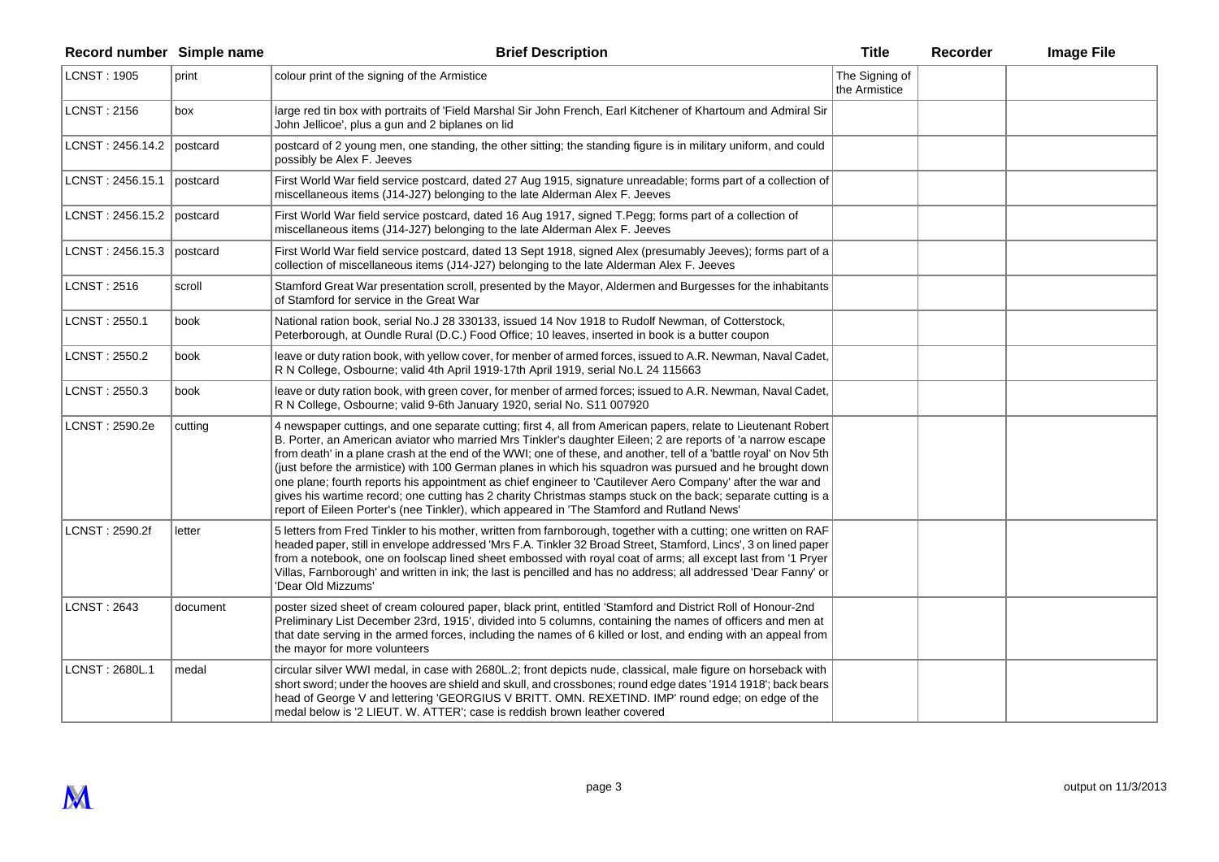| Record number Simple name   |          | <b>Brief Description</b>                                                                                                                                                                                                                                                                                                                                                                                                                                                                                                                                                                                                                                                                                                                                                                     | <b>Title</b>                    | Recorder | <b>Image File</b> |
|-----------------------------|----------|----------------------------------------------------------------------------------------------------------------------------------------------------------------------------------------------------------------------------------------------------------------------------------------------------------------------------------------------------------------------------------------------------------------------------------------------------------------------------------------------------------------------------------------------------------------------------------------------------------------------------------------------------------------------------------------------------------------------------------------------------------------------------------------------|---------------------------------|----------|-------------------|
| <b>LCNST: 1905</b>          | print    | colour print of the signing of the Armistice                                                                                                                                                                                                                                                                                                                                                                                                                                                                                                                                                                                                                                                                                                                                                 | The Signing of<br>the Armistice |          |                   |
| <b>LCNST: 2156</b>          | box      | large red tin box with portraits of 'Field Marshal Sir John French, Earl Kitchener of Khartoum and Admiral Sir<br>John Jellicoe', plus a gun and 2 biplanes on lid                                                                                                                                                                                                                                                                                                                                                                                                                                                                                                                                                                                                                           |                                 |          |                   |
| LCNST: $2456.14.2$ postcard |          | postcard of 2 young men, one standing, the other sitting; the standing figure is in military uniform, and could<br>possibly be Alex F. Jeeves                                                                                                                                                                                                                                                                                                                                                                                                                                                                                                                                                                                                                                                |                                 |          |                   |
| LCNST: 2456.15.1            | postcard | First World War field service postcard, dated 27 Aug 1915, signature unreadable; forms part of a collection of<br>miscellaneous items (J14-J27) belonging to the late Alderman Alex F. Jeeves                                                                                                                                                                                                                                                                                                                                                                                                                                                                                                                                                                                                |                                 |          |                   |
| LCNST: $2456.15.2$ postcard |          | First World War field service postcard, dated 16 Aug 1917, signed T.Pegg; forms part of a collection of<br>miscellaneous items (J14-J27) belonging to the late Alderman Alex F. Jeeves                                                                                                                                                                                                                                                                                                                                                                                                                                                                                                                                                                                                       |                                 |          |                   |
| LCNST: $2456.15.3$ postcard |          | First World War field service postcard, dated 13 Sept 1918, signed Alex (presumably Jeeves); forms part of a<br>collection of miscellaneous items (J14-J27) belonging to the late Alderman Alex F. Jeeves                                                                                                                                                                                                                                                                                                                                                                                                                                                                                                                                                                                    |                                 |          |                   |
| LCNST: 2516                 | scroll   | Stamford Great War presentation scroll, presented by the Mayor, Aldermen and Burgesses for the inhabitants<br>of Stamford for service in the Great War                                                                                                                                                                                                                                                                                                                                                                                                                                                                                                                                                                                                                                       |                                 |          |                   |
| LCNST: 2550.1               | book     | National ration book, serial No.J 28 330133, issued 14 Nov 1918 to Rudolf Newman, of Cotterstock,<br>Peterborough, at Oundle Rural (D.C.) Food Office; 10 leaves, inserted in book is a butter coupon                                                                                                                                                                                                                                                                                                                                                                                                                                                                                                                                                                                        |                                 |          |                   |
| LCNST: 2550.2               | book     | leave or duty ration book, with yellow cover, for menber of armed forces, issued to A.R. Newman, Naval Cadet,<br>R N College, Osbourne; valid 4th April 1919-17th April 1919, serial No.L 24 115663                                                                                                                                                                                                                                                                                                                                                                                                                                                                                                                                                                                          |                                 |          |                   |
| LCNST: 2550.3               | book     | leave or duty ration book, with green cover, for menber of armed forces; issued to A.R. Newman, Naval Cadet,<br>R N College, Osbourne; valid 9-6th January 1920, serial No. S11 007920                                                                                                                                                                                                                                                                                                                                                                                                                                                                                                                                                                                                       |                                 |          |                   |
| LCNST: 2590.2e              | cutting  | 4 newspaper cuttings, and one separate cutting; first 4, all from American papers, relate to Lieutenant Robert<br>B. Porter, an American aviator who married Mrs Tinkler's daughter Eileen; 2 are reports of 'a narrow escape<br>from death' in a plane crash at the end of the WWI; one of these, and another, tell of a 'battle royal' on Nov 5th<br>(just before the armistice) with 100 German planes in which his squadron was pursued and he brought down<br>one plane; fourth reports his appointment as chief engineer to 'Cautilever Aero Company' after the war and<br>gives his wartime record; one cutting has 2 charity Christmas stamps stuck on the back; separate cutting is a<br>report of Eileen Porter's (nee Tinkler), which appeared in 'The Stamford and Rutland News' |                                 |          |                   |
| LCNST: 2590.2f              | letter   | 5 letters from Fred Tinkler to his mother, written from farnborough, together with a cutting; one written on RAF<br>headed paper, still in envelope addressed 'Mrs F.A. Tinkler 32 Broad Street, Stamford, Lincs', 3 on lined paper<br>from a notebook, one on foolscap lined sheet embossed with royal coat of arms; all except last from '1 Pryer<br>Villas, Farnborough' and written in ink; the last is pencilled and has no address; all addressed 'Dear Fanny' or<br>'Dear Old Mizzums'                                                                                                                                                                                                                                                                                                |                                 |          |                   |
| <b>LCNST: 2643</b>          | document | poster sized sheet of cream coloured paper, black print, entitled 'Stamford and District Roll of Honour-2nd<br>Preliminary List December 23rd, 1915', divided into 5 columns, containing the names of officers and men at<br>that date serving in the armed forces, including the names of 6 killed or lost, and ending with an appeal from<br>the mayor for more volunteers                                                                                                                                                                                                                                                                                                                                                                                                                 |                                 |          |                   |
| LCNST: 2680L.1              | medal    | circular silver WWI medal, in case with 2680L.2; front depicts nude, classical, male figure on horseback with<br>short sword; under the hooves are shield and skull, and crossbones; round edge dates '1914 1918'; back bears<br>head of George V and lettering 'GEORGIUS V BRITT. OMN. REXETIND. IMP' round edge; on edge of the<br>medal below is '2 LIEUT. W. ATTER'; case is reddish brown leather covered                                                                                                                                                                                                                                                                                                                                                                               |                                 |          |                   |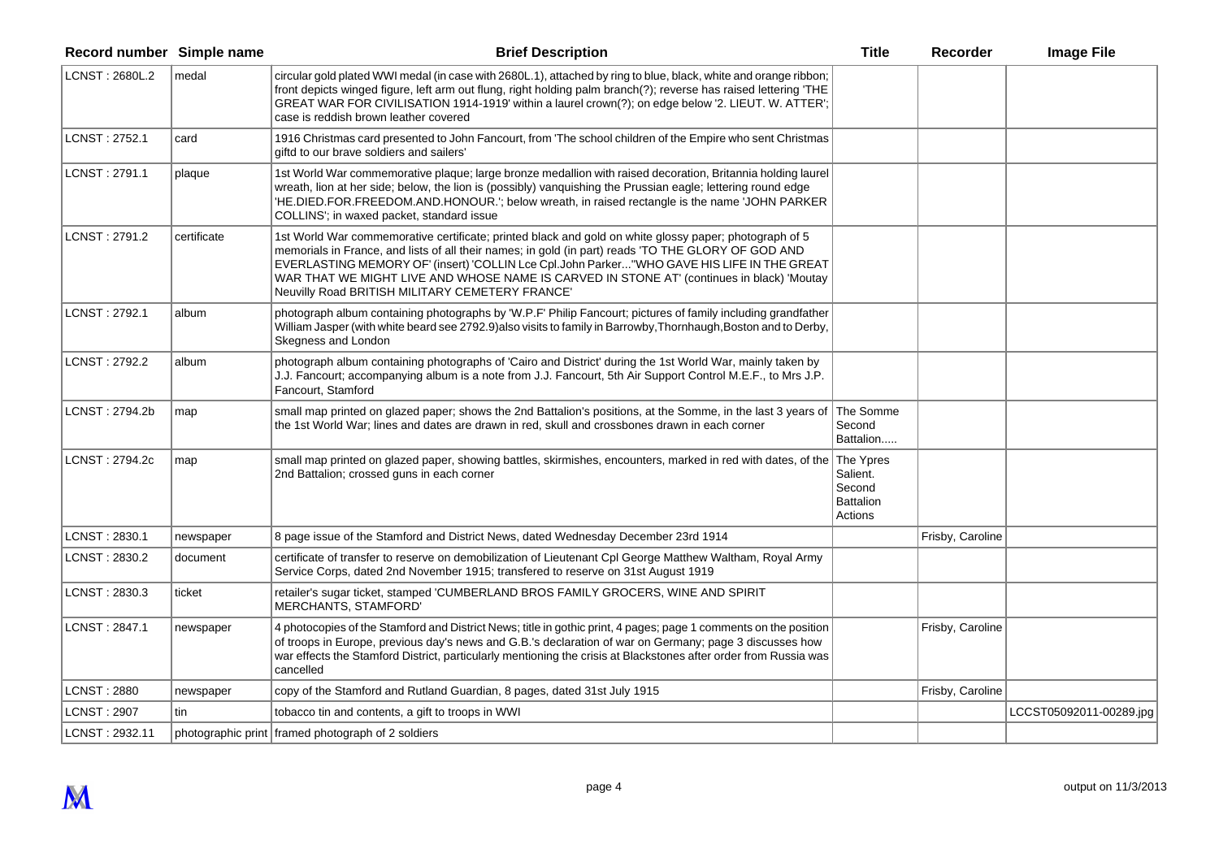| Record number Simple name |             | <b>Brief Description</b>                                                                                                                                                                                                                                                                                                                                                                                                                                    | <b>Title</b>                                      | Recorder         | <b>Image File</b>       |
|---------------------------|-------------|-------------------------------------------------------------------------------------------------------------------------------------------------------------------------------------------------------------------------------------------------------------------------------------------------------------------------------------------------------------------------------------------------------------------------------------------------------------|---------------------------------------------------|------------------|-------------------------|
| LCNST: 2680L.2            | medal       | circular gold plated WWI medal (in case with 2680L.1), attached by ring to blue, black, white and orange ribbon;<br>front depicts winged figure, left arm out flung, right holding palm branch(?); reverse has raised lettering 'THE<br>GREAT WAR FOR CIVILISATION 1914-1919' within a laurel crown(?); on edge below '2. LIEUT. W. ATTER';<br>case is reddish brown leather covered                                                                        |                                                   |                  |                         |
| LCNST: 2752.1             | card        | 1916 Christmas card presented to John Fancourt, from 'The school children of the Empire who sent Christmas<br>giftd to our brave soldiers and sailers'                                                                                                                                                                                                                                                                                                      |                                                   |                  |                         |
| LCNST: 2791.1             | plaque      | 1st World War commemorative plaque; large bronze medallion with raised decoration, Britannia holding laurel<br>wreath, lion at her side; below, the lion is (possibly) vanquishing the Prussian eagle; lettering round edge<br>'HE.DIED.FOR.FREEDOM.AND.HONOUR.'; below wreath, in raised rectangle is the name 'JOHN PARKER<br>COLLINS'; in waxed packet, standard issue                                                                                   |                                                   |                  |                         |
| LCNST: 2791.2             | certificate | 1st World War commemorative certificate; printed black and gold on white glossy paper; photograph of 5<br>memorials in France, and lists of all their names; in gold (in part) reads 'TO THE GLORY OF GOD AND<br>EVERLASTING MEMORY OF' (insert) 'COLLIN Lce Cpl.John Parker"WHO GAVE HIS LIFE IN THE GREAT<br>WAR THAT WE MIGHT LIVE AND WHOSE NAME IS CARVED IN STONE AT' (continues in black) 'Moutay<br>Neuvilly Road BRITISH MILITARY CEMETERY FRANCE' |                                                   |                  |                         |
| LCNST: 2792.1             | album       | photograph album containing photographs by 'W.P.F' Philip Fancourt; pictures of family including grandfather<br>William Jasper (with white beard see 2792.9) also visits to family in Barrowby, Thornhaugh, Boston and to Derby,<br>Skegness and London                                                                                                                                                                                                     |                                                   |                  |                         |
| LCNST: 2792.2             | album       | photograph album containing photographs of 'Cairo and District' during the 1st World War, mainly taken by<br>J.J. Fancourt; accompanying album is a note from J.J. Fancourt, 5th Air Support Control M.E.F., to Mrs J.P.<br>Fancourt, Stamford                                                                                                                                                                                                              |                                                   |                  |                         |
| LCNST: 2794.2b            | map         | small map printed on glazed paper; shows the 2nd Battalion's positions, at the Somme, in the last 3 years of The Somme<br>the 1st World War; lines and dates are drawn in red, skull and crossbones drawn in each corner                                                                                                                                                                                                                                    | Second<br>Battalion                               |                  |                         |
| LCNST: 2794.2c            | map         | small map printed on glazed paper, showing battles, skirmishes, encounters, marked in red with dates, of the The Ypres<br>2nd Battalion; crossed guns in each corner                                                                                                                                                                                                                                                                                        | Salient.<br>Second<br><b>Battalion</b><br>Actions |                  |                         |
| LCNST: 2830.1             | newspaper   | 8 page issue of the Stamford and District News, dated Wednesday December 23rd 1914                                                                                                                                                                                                                                                                                                                                                                          |                                                   | Frisby, Caroline |                         |
| LCNST: 2830.2             | document    | certificate of transfer to reserve on demobilization of Lieutenant CpI George Matthew Waltham, Royal Army<br>Service Corps, dated 2nd November 1915; transfered to reserve on 31st August 1919                                                                                                                                                                                                                                                              |                                                   |                  |                         |
| LCNST: 2830.3             | ticket      | retailer's sugar ticket, stamped 'CUMBERLAND BROS FAMILY GROCERS, WINE AND SPIRIT<br>MERCHANTS, STAMFORD'                                                                                                                                                                                                                                                                                                                                                   |                                                   |                  |                         |
| LCNST: 2847.1             | newspaper   | 4 photocopies of the Stamford and District News; title in gothic print, 4 pages; page 1 comments on the position<br>of troops in Europe, previous day's news and G.B.'s declaration of war on Germany; page 3 discusses how<br>war effects the Stamford District, particularly mentioning the crisis at Blackstones after order from Russia was<br>cancelled                                                                                                |                                                   | Frisby, Caroline |                         |
| LCNST: 2880               | newspaper   | copy of the Stamford and Rutland Guardian, 8 pages, dated 31st July 1915                                                                                                                                                                                                                                                                                                                                                                                    |                                                   | Frisby, Caroline |                         |
| <b>LCNST: 2907</b>        | tin         | tobacco tin and contents, a gift to troops in WWI                                                                                                                                                                                                                                                                                                                                                                                                           |                                                   |                  | LCCST05092011-00289.jpg |
| LCNST: 2932.11            |             | photographic print framed photograph of 2 soldiers                                                                                                                                                                                                                                                                                                                                                                                                          |                                                   |                  |                         |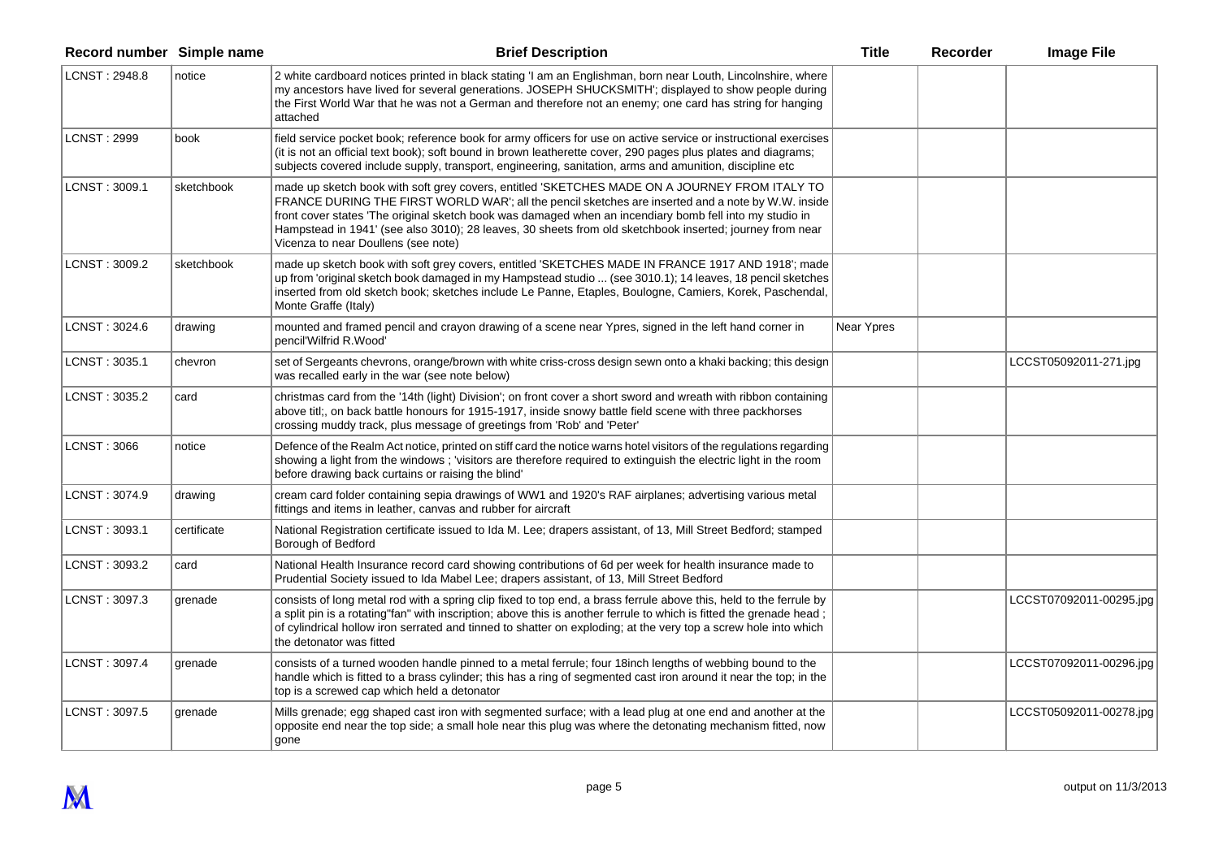| Record number Simple name |             | <b>Brief Description</b>                                                                                                                                                                                                                                                                                                                                                                                                                                          | <b>Title</b> | Recorder | <b>Image File</b>       |
|---------------------------|-------------|-------------------------------------------------------------------------------------------------------------------------------------------------------------------------------------------------------------------------------------------------------------------------------------------------------------------------------------------------------------------------------------------------------------------------------------------------------------------|--------------|----------|-------------------------|
| LCNST: 2948.8             | notice      | 2 white cardboard notices printed in black stating 'I am an Englishman, born near Louth, Lincolnshire, where<br>my ancestors have lived for several generations. JOSEPH SHUCKSMITH'; displayed to show people during<br>the First World War that he was not a German and therefore not an enemy; one card has string for hanging<br>attached                                                                                                                      |              |          |                         |
| <b>LCNST: 2999</b>        | book        | field service pocket book; reference book for army officers for use on active service or instructional exercises<br>(it is not an official text book); soft bound in brown leatherette cover, 290 pages plus plates and diagrams;<br>subjects covered include supply, transport, engineering, sanitation, arms and amunition, discipline etc                                                                                                                      |              |          |                         |
| LCNST: 3009.1             | sketchbook  | made up sketch book with soft grey covers, entitled 'SKETCHES MADE ON A JOURNEY FROM ITALY TO<br>FRANCE DURING THE FIRST WORLD WAR'; all the pencil sketches are inserted and a note by W.W. inside<br>front cover states 'The original sketch book was damaged when an incendiary bomb fell into my studio in<br>Hampstead in 1941' (see also 3010); 28 leaves, 30 sheets from old sketchbook inserted; journey from near<br>Vicenza to near Doullens (see note) |              |          |                         |
| LCNST: 3009.2             | sketchbook  | made up sketch book with soft grey covers, entitled 'SKETCHES MADE IN FRANCE 1917 AND 1918'; made<br>up from 'original sketch book damaged in my Hampstead studio  (see 3010.1); 14 leaves, 18 pencil sketches<br>inserted from old sketch book; sketches include Le Panne, Etaples, Boulogne, Camiers, Korek, Paschendal,<br>Monte Graffe (Italy)                                                                                                                |              |          |                         |
| LCNST: 3024.6             | drawing     | mounted and framed pencil and crayon drawing of a scene near Ypres, signed in the left hand corner in<br>pencil'Wilfrid R.Wood'                                                                                                                                                                                                                                                                                                                                   | Near Ypres   |          |                         |
| LCNST: 3035.1             | chevron     | set of Sergeants chevrons, orange/brown with white criss-cross design sewn onto a khaki backing; this design<br>was recalled early in the war (see note below)                                                                                                                                                                                                                                                                                                    |              |          | LCCST05092011-271.jpg   |
| LCNST: 3035.2             | card        | christmas card from the '14th (light) Division'; on front cover a short sword and wreath with ribbon containing<br>above titl;, on back battle honours for 1915-1917, inside snowy battle field scene with three packhorses<br>crossing muddy track, plus message of greetings from 'Rob' and 'Peter'                                                                                                                                                             |              |          |                         |
| <b>LCNST: 3066</b>        | notice      | Defence of the Realm Act notice, printed on stiff card the notice warns hotel visitors of the regulations regarding<br>showing a light from the windows; visitors are therefore required to extinguish the electric light in the room<br>before drawing back curtains or raising the blind'                                                                                                                                                                       |              |          |                         |
| LCNST: 3074.9             | drawing     | cream card folder containing sepia drawings of WW1 and 1920's RAF airplanes; advertising various metal<br>fittings and items in leather, canvas and rubber for aircraft                                                                                                                                                                                                                                                                                           |              |          |                         |
| LCNST: 3093.1             | certificate | National Registration certificate issued to Ida M. Lee; drapers assistant, of 13, Mill Street Bedford; stamped<br>Borough of Bedford                                                                                                                                                                                                                                                                                                                              |              |          |                         |
| LCNST: 3093.2             | card        | National Health Insurance record card showing contributions of 6d per week for health insurance made to<br>Prudential Society issued to Ida Mabel Lee; drapers assistant, of 13, Mill Street Bedford                                                                                                                                                                                                                                                              |              |          |                         |
| LCNST: 3097.3             | grenade     | consists of long metal rod with a spring clip fixed to top end, a brass ferrule above this, held to the ferrule by<br>a split pin is a rotating"fan" with inscription; above this is another ferrule to which is fitted the grenade head;<br>of cylindrical hollow iron serrated and tinned to shatter on exploding; at the very top a screw hole into which<br>the detonator was fitted                                                                          |              |          | LCCST07092011-00295.jpg |
| LCNST: 3097.4             | grenade     | consists of a turned wooden handle pinned to a metal ferrule; four 18inch lengths of webbing bound to the<br>handle which is fitted to a brass cylinder; this has a ring of segmented cast iron around it near the top; in the<br>top is a screwed cap which held a detonator                                                                                                                                                                                     |              |          | LCCST07092011-00296.jpg |
| LCNST: 3097.5             | grenade     | Mills grenade; egg shaped cast iron with segmented surface; with a lead plug at one end and another at the<br>opposite end near the top side; a small hole near this plug was where the detonating mechanism fitted, now<br>gone                                                                                                                                                                                                                                  |              |          | LCCST05092011-00278.jpg |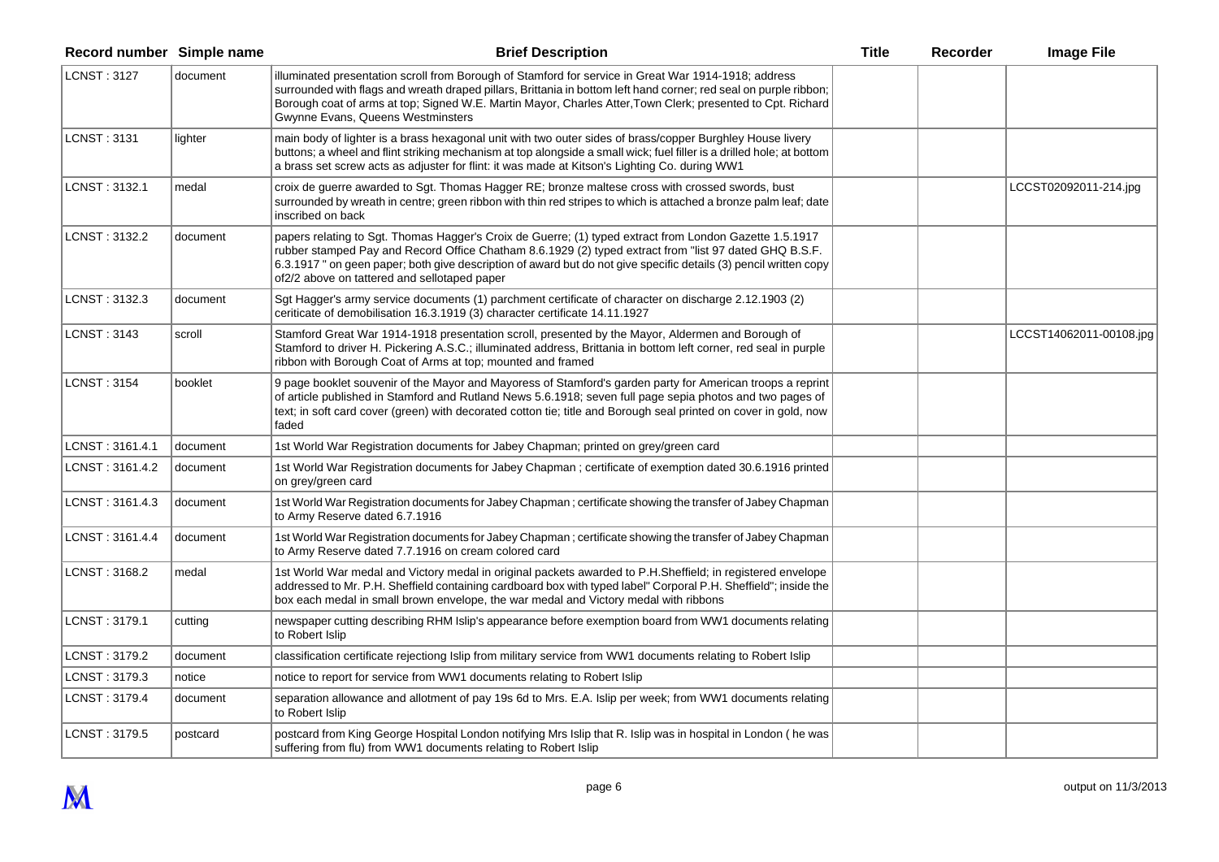| Record number Simple name |          | <b>Brief Description</b>                                                                                                                                                                                                                                                                                                                                                               | <b>Title</b> | Recorder | <b>Image File</b>       |
|---------------------------|----------|----------------------------------------------------------------------------------------------------------------------------------------------------------------------------------------------------------------------------------------------------------------------------------------------------------------------------------------------------------------------------------------|--------------|----------|-------------------------|
| <b>LCNST: 3127</b>        | document | illuminated presentation scroll from Borough of Stamford for service in Great War 1914-1918; address<br>surrounded with flags and wreath draped pillars, Brittania in bottom left hand corner; red seal on purple ribbon;<br>Borough coat of arms at top; Signed W.E. Martin Mayor, Charles Atter, Town Clerk; presented to Cpt. Richard<br>Gwynne Evans, Queens Westminsters          |              |          |                         |
| LCNST: 3131               | lighter  | main body of lighter is a brass hexagonal unit with two outer sides of brass/copper Burghley House livery<br>buttons; a wheel and flint striking mechanism at top alongside a small wick; fuel filler is a drilled hole; at bottom<br>a brass set screw acts as adjuster for flint: it was made at Kitson's Lighting Co. during WW1                                                    |              |          |                         |
| LCNST: 3132.1             | medal    | croix de guerre awarded to Sgt. Thomas Hagger RE; bronze maltese cross with crossed swords, bust<br>surrounded by wreath in centre; green ribbon with thin red stripes to which is attached a bronze palm leaf; date<br>inscribed on back                                                                                                                                              |              |          | LCCST02092011-214.jpg   |
| LCNST: 3132.2             | document | papers relating to Sgt. Thomas Hagger's Croix de Guerre; (1) typed extract from London Gazette 1.5.1917<br>rubber stamped Pay and Record Office Chatham 8.6.1929 (2) typed extract from "list 97 dated GHQ B.S.F.<br>6.3.1917 " on geen paper; both give description of award but do not give specific details (3) pencil written copy<br>of2/2 above on tattered and sellotaped paper |              |          |                         |
| LCNST: 3132.3             | document | Sgt Hagger's army service documents (1) parchment certificate of character on discharge 2.12.1903 (2)<br>ceriticate of demobilisation 16.3.1919 (3) character certificate 14.11.1927                                                                                                                                                                                                   |              |          |                         |
| LCNST: 3143               | scroll   | Stamford Great War 1914-1918 presentation scroll, presented by the Mayor, Aldermen and Borough of<br>Stamford to driver H. Pickering A.S.C.; illuminated address, Brittania in bottom left corner, red seal in purple<br>ribbon with Borough Coat of Arms at top; mounted and framed                                                                                                   |              |          | LCCST14062011-00108.jpg |
| LCNST: 3154               | booklet  | 9 page booklet souvenir of the Mayor and Mayoress of Stamford's garden party for American troops a reprint<br>of article published in Stamford and Rutland News 5.6.1918; seven full page sepia photos and two pages of<br>text; in soft card cover (green) with decorated cotton tie; title and Borough seal printed on cover in gold, now<br>faded                                   |              |          |                         |
| LCNST : 3161.4.1          | document | 1st World War Registration documents for Jabey Chapman; printed on grey/green card                                                                                                                                                                                                                                                                                                     |              |          |                         |
| LCNST : 3161.4.2          | document | 1st World War Registration documents for Jabey Chapman; certificate of exemption dated 30.6.1916 printed<br>on grey/green card                                                                                                                                                                                                                                                         |              |          |                         |
| LCNST: 3161.4.3           | document | 1st World War Registration documents for Jabey Chapman; certificate showing the transfer of Jabey Chapman<br>to Army Reserve dated 6.7.1916                                                                                                                                                                                                                                            |              |          |                         |
| LCNST: 3161.4.4           | document | 1st World War Registration documents for Jabey Chapman; certificate showing the transfer of Jabey Chapman<br>to Army Reserve dated 7.7.1916 on cream colored card                                                                                                                                                                                                                      |              |          |                         |
| LCNST: 3168.2             | medal    | 1st World War medal and Victory medal in original packets awarded to P.H.Sheffield; in registered envelope<br>addressed to Mr. P.H. Sheffield containing cardboard box with typed label" Corporal P.H. Sheffield"; inside the<br>box each medal in small brown envelope, the war medal and Victory medal with ribbons                                                                  |              |          |                         |
| LCNST: 3179.1             | cutting  | newspaper cutting describing RHM Islip's appearance before exemption board from WW1 documents relating<br>to Robert Islip                                                                                                                                                                                                                                                              |              |          |                         |
| LCNST: 3179.2             | document | classification certificate rejectiong Islip from military service from WW1 documents relating to Robert Islip                                                                                                                                                                                                                                                                          |              |          |                         |
| LCNST: 3179.3             | notice   | notice to report for service from WW1 documents relating to Robert Islip                                                                                                                                                                                                                                                                                                               |              |          |                         |
| LCNST: 3179.4             | document | separation allowance and allotment of pay 19s 6d to Mrs. E.A. Islip per week; from WW1 documents relating<br>to Robert Islip                                                                                                                                                                                                                                                           |              |          |                         |
| LCNST: 3179.5             | postcard | postcard from King George Hospital London notifying Mrs Islip that R. Islip was in hospital in London (he was<br>suffering from flu) from WW1 documents relating to Robert Islip                                                                                                                                                                                                       |              |          |                         |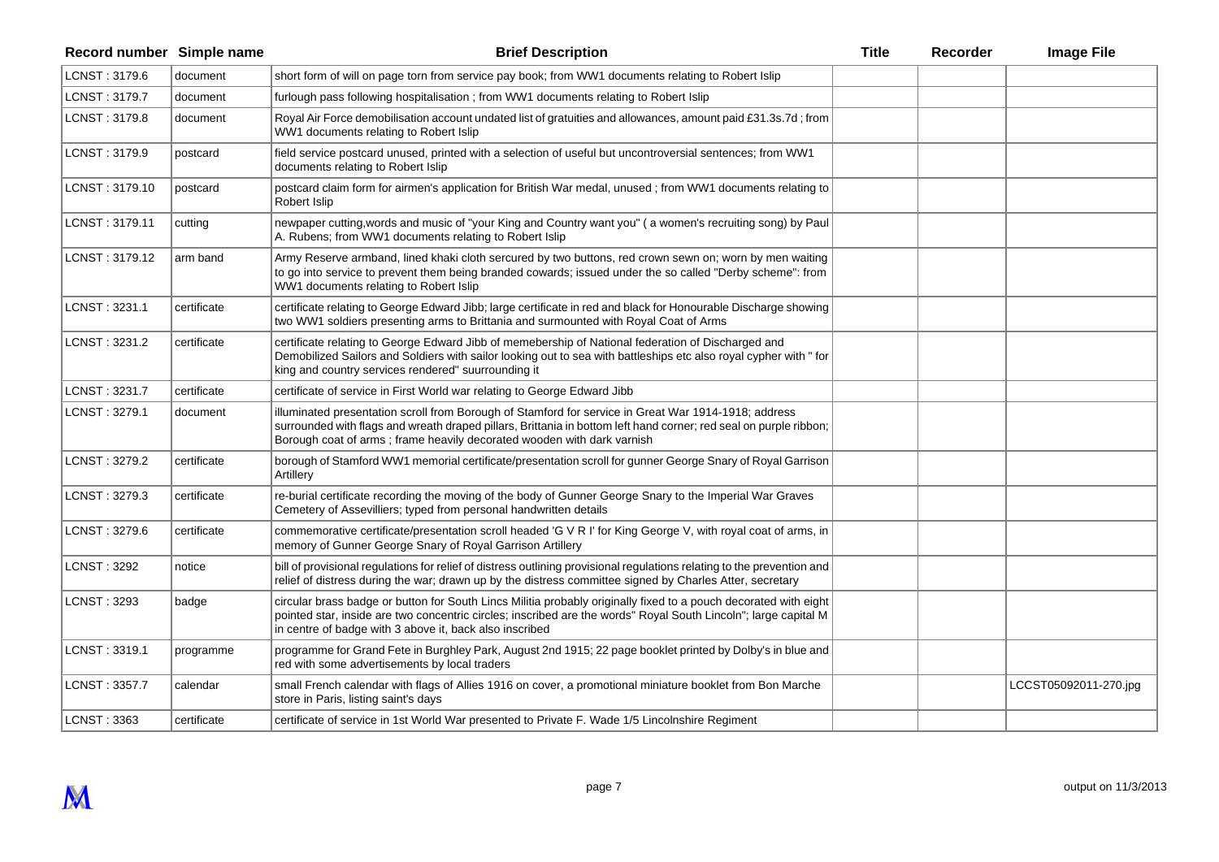| Record number Simple name |             | <b>Brief Description</b>                                                                                                                                                                                                                                                                            | <b>Title</b> | Recorder | <b>Image File</b>     |
|---------------------------|-------------|-----------------------------------------------------------------------------------------------------------------------------------------------------------------------------------------------------------------------------------------------------------------------------------------------------|--------------|----------|-----------------------|
| LCNST: 3179.6             | document    | short form of will on page torn from service pay book; from WW1 documents relating to Robert Islip                                                                                                                                                                                                  |              |          |                       |
| LCNST: 3179.7             | document    | furlough pass following hospitalisation ; from WW1 documents relating to Robert Islip                                                                                                                                                                                                               |              |          |                       |
| LCNST: 3179.8             | document    | Royal Air Force demobilisation account undated list of gratuities and allowances, amount paid £31.3s.7d; from<br>WW1 documents relating to Robert Islip                                                                                                                                             |              |          |                       |
| LCNST: 3179.9             | postcard    | field service postcard unused, printed with a selection of useful but uncontroversial sentences; from WW1<br>documents relating to Robert Islip                                                                                                                                                     |              |          |                       |
| LCNST: 3179.10            | postcard    | postcard claim form for airmen's application for British War medal, unused; from WW1 documents relating to<br>Robert Islip                                                                                                                                                                          |              |          |                       |
| LCNST: 3179.11            | cutting     | newpaper cutting, words and music of "your King and Country want you" (a women's recruiting song) by Paul<br>A. Rubens; from WW1 documents relating to Robert Islip                                                                                                                                 |              |          |                       |
| LCNST: 3179.12            | arm band    | Army Reserve armband, lined khaki cloth sercured by two buttons, red crown sewn on; worn by men waiting<br>to go into service to prevent them being branded cowards; issued under the so called "Derby scheme": from<br>WW1 documents relating to Robert Islip                                      |              |          |                       |
| LCNST: 3231.1             | certificate | certificate relating to George Edward Jibb; large certificate in red and black for Honourable Discharge showing<br>two WW1 soldiers presenting arms to Brittania and surmounted with Royal Coat of Arms                                                                                             |              |          |                       |
| LCNST: 3231.2             | certificate | certificate relating to George Edward Jibb of memebership of National federation of Discharged and<br>Demobilized Sailors and Soldiers with sailor looking out to sea with battleships etc also royal cypher with " for<br>king and country services rendered" suurrounding it                      |              |          |                       |
| LCNST: 3231.7             | certificate | certificate of service in First World war relating to George Edward Jibb                                                                                                                                                                                                                            |              |          |                       |
| LCNST: 3279.1             | document    | illuminated presentation scroll from Borough of Stamford for service in Great War 1914-1918; address<br>surrounded with flags and wreath draped pillars, Brittania in bottom left hand corner; red seal on purple ribbon;<br>Borough coat of arms; frame heavily decorated wooden with dark varnish |              |          |                       |
| LCNST: 3279.2             | certificate | borough of Stamford WW1 memorial certificate/presentation scroll for gunner George Snary of Royal Garrison<br>Artillery                                                                                                                                                                             |              |          |                       |
| LCNST: 3279.3             | certificate | re-burial certificate recording the moving of the body of Gunner George Snary to the Imperial War Graves<br>Cemetery of Assevilliers; typed from personal handwritten details                                                                                                                       |              |          |                       |
| LCNST: 3279.6             | certificate | commemorative certificate/presentation scroll headed 'G V R I' for King George V, with royal coat of arms, in<br>memory of Gunner George Snary of Royal Garrison Artillery                                                                                                                          |              |          |                       |
| LCNST: 3292               | notice      | bill of provisional regulations for relief of distress outlining provisional regulations relating to the prevention and<br>relief of distress during the war; drawn up by the distress committee signed by Charles Atter, secretary                                                                 |              |          |                       |
| LCNST: 3293               | badge       | circular brass badge or button for South Lincs Militia probably originally fixed to a pouch decorated with eight<br>pointed star, inside are two concentric circles; inscribed are the words" Royal South Lincoln"; large capital M<br>in centre of badge with 3 above it, back also inscribed      |              |          |                       |
| LCNST: 3319.1             | programme   | programme for Grand Fete in Burghley Park, August 2nd 1915; 22 page booklet printed by Dolby's in blue and<br>red with some advertisements by local traders                                                                                                                                         |              |          |                       |
| LCNST: 3357.7             | calendar    | small French calendar with flags of Allies 1916 on cover, a promotional miniature booklet from Bon Marche<br>store in Paris, listing saint's days                                                                                                                                                   |              |          | LCCST05092011-270.jpg |
| <b>LCNST: 3363</b>        | certificate | certificate of service in 1st World War presented to Private F. Wade 1/5 Lincolnshire Regiment                                                                                                                                                                                                      |              |          |                       |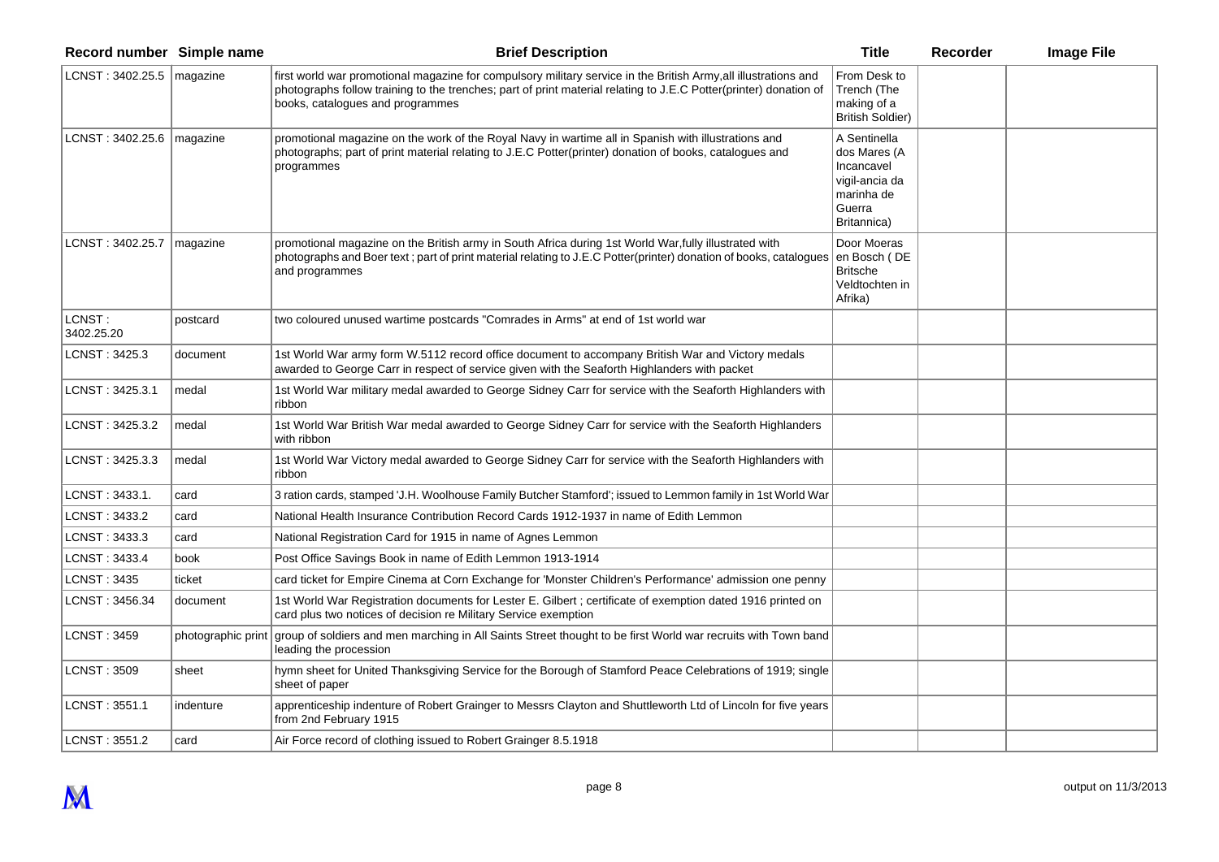| Record number Simple name     |                    | <b>Brief Description</b>                                                                                                                                                                                                                                                 | <b>Title</b>                                                                                        | Recorder | <b>Image File</b> |
|-------------------------------|--------------------|--------------------------------------------------------------------------------------------------------------------------------------------------------------------------------------------------------------------------------------------------------------------------|-----------------------------------------------------------------------------------------------------|----------|-------------------|
| LCNST: 3402.25.5   magazine   |                    | first world war promotional magazine for compulsory military service in the British Army, all illustrations and<br>photographs follow training to the trenches; part of print material relating to J.E.C Potter(printer) donation of<br>books, catalogues and programmes | From Desk to<br>Trench (The<br>making of a<br><b>British Soldier)</b>                               |          |                   |
| LCNST: $3402.25.6$   magazine |                    | promotional magazine on the work of the Royal Navy in wartime all in Spanish with illustrations and<br>photographs; part of print material relating to J.E.C Potter(printer) donation of books, catalogues and<br>programmes                                             | A Sentinella<br>dos Mares (A<br>Incancavel<br>vigil-ancia da<br>marinha de<br>Guerra<br>Britannica) |          |                   |
| LCNST: 3402.25.7              | magazine           | promotional magazine on the British army in South Africa during 1st World War, fully illustrated with<br>photographs and Boer text; part of print material relating to J.E.C Potter(printer) donation of books, catalogues en Bosch (DE<br>and programmes                | Door Moeras<br><b>Britsche</b><br>Veldtochten in<br>Afrika)                                         |          |                   |
| LCNST:<br>3402.25.20          | postcard           | two coloured unused wartime postcards "Comrades in Arms" at end of 1st world war                                                                                                                                                                                         |                                                                                                     |          |                   |
| LCNST: 3425.3                 | document           | 1st World War army form W.5112 record office document to accompany British War and Victory medals<br>awarded to George Carr in respect of service given with the Seaforth Highlanders with packet                                                                        |                                                                                                     |          |                   |
| LCNST: 3425.3.1               | medal              | 1st World War military medal awarded to George Sidney Carr for service with the Seaforth Highlanders with<br>ribbon                                                                                                                                                      |                                                                                                     |          |                   |
| LCNST: 3425.3.2               | medal              | 1st World War British War medal awarded to George Sidney Carr for service with the Seaforth Highlanders<br>with ribbon                                                                                                                                                   |                                                                                                     |          |                   |
| LCNST: 3425.3.3               | medal              | 1st World War Victory medal awarded to George Sidney Carr for service with the Seaforth Highlanders with<br>ribbon                                                                                                                                                       |                                                                                                     |          |                   |
| LCNST: 3433.1.                | card               | 3 ration cards, stamped 'J.H. Woolhouse Family Butcher Stamford'; issued to Lemmon family in 1st World War                                                                                                                                                               |                                                                                                     |          |                   |
| LCNST: 3433.2                 | card               | National Health Insurance Contribution Record Cards 1912-1937 in name of Edith Lemmon                                                                                                                                                                                    |                                                                                                     |          |                   |
| LCNST: 3433.3                 | card               | National Registration Card for 1915 in name of Agnes Lemmon                                                                                                                                                                                                              |                                                                                                     |          |                   |
| LCNST: 3433.4                 | book               | Post Office Savings Book in name of Edith Lemmon 1913-1914                                                                                                                                                                                                               |                                                                                                     |          |                   |
| <b>LCNST: 3435</b>            | ticket             | card ticket for Empire Cinema at Corn Exchange for 'Monster Children's Performance' admission one penny                                                                                                                                                                  |                                                                                                     |          |                   |
| LCNST: 3456.34                | document           | 1st World War Registration documents for Lester E. Gilbert ; certificate of exemption dated 1916 printed on<br>card plus two notices of decision re Military Service exemption                                                                                           |                                                                                                     |          |                   |
| <b>LCNST: 3459</b>            | photographic print | group of soldiers and men marching in All Saints Street thought to be first World war recruits with Town band<br>leading the procession                                                                                                                                  |                                                                                                     |          |                   |
| <b>LCNST: 3509</b>            | sheet              | hymn sheet for United Thanksgiving Service for the Borough of Stamford Peace Celebrations of 1919; single<br>sheet of paper                                                                                                                                              |                                                                                                     |          |                   |
| LCNST: 3551.1                 | indenture          | apprenticeship indenture of Robert Grainger to Messrs Clayton and Shuttleworth Ltd of Lincoln for five years<br>from 2nd February 1915                                                                                                                                   |                                                                                                     |          |                   |
| LCNST: 3551.2                 | card               | Air Force record of clothing issued to Robert Grainger 8.5.1918                                                                                                                                                                                                          |                                                                                                     |          |                   |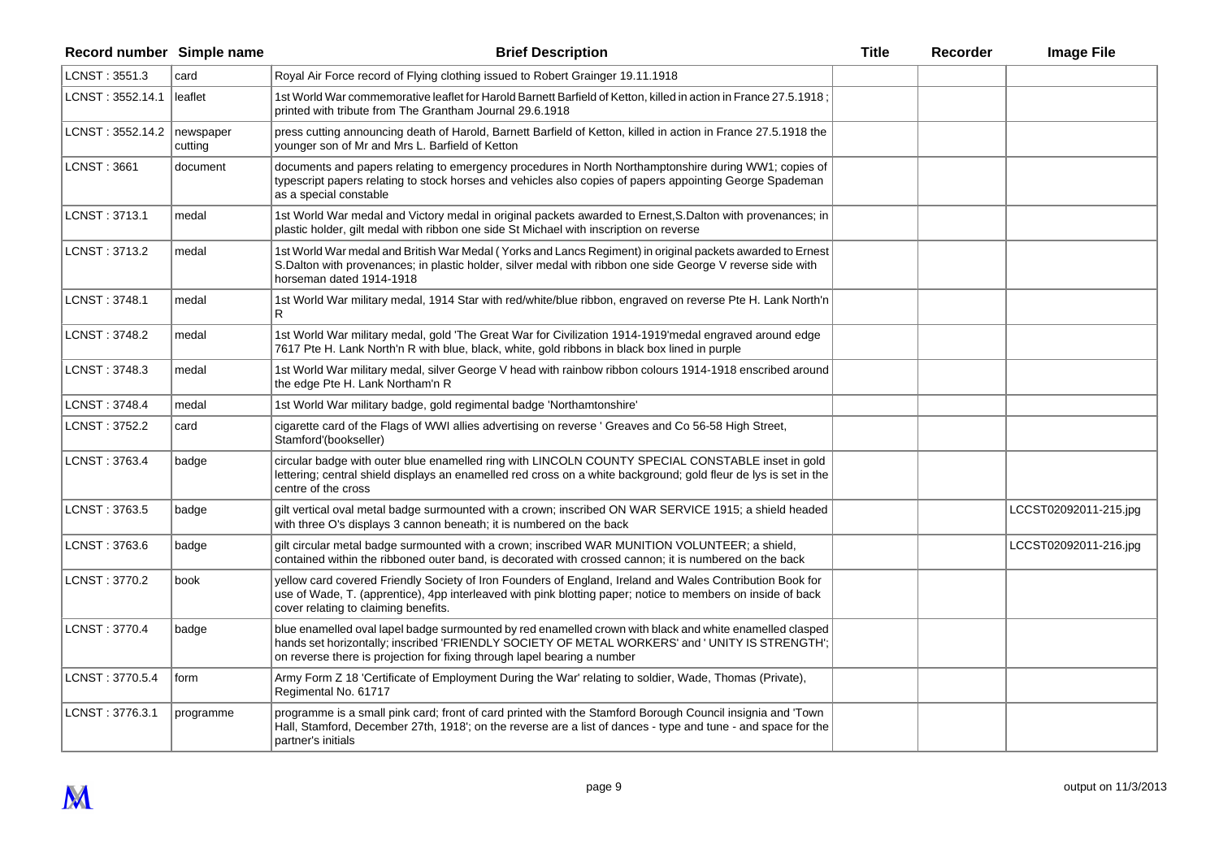| Record number Simple name    |           | <b>Brief Description</b>                                                                                                                                                                                                                                                                | <b>Title</b> | Recorder | <b>Image File</b>     |
|------------------------------|-----------|-----------------------------------------------------------------------------------------------------------------------------------------------------------------------------------------------------------------------------------------------------------------------------------------|--------------|----------|-----------------------|
| LCNST: 3551.3                | card      | Royal Air Force record of Flying clothing issued to Robert Grainger 19.11.1918                                                                                                                                                                                                          |              |          |                       |
| LCNST: 3552.14.1             | leaflet   | 1st World War commemorative leaflet for Harold Barnett Barfield of Ketton, killed in action in France 27.5.1918<br>printed with tribute from The Grantham Journal 29.6.1918                                                                                                             |              |          |                       |
| LCNST: 3552.14.2   newspaper | cutting   | press cutting announcing death of Harold, Barnett Barfield of Ketton, killed in action in France 27.5.1918 the<br>younger son of Mr and Mrs L. Barfield of Ketton                                                                                                                       |              |          |                       |
| <b>LCNST: 3661</b>           | document  | documents and papers relating to emergency procedures in North Northamptonshire during WW1; copies of<br>typescript papers relating to stock horses and vehicles also copies of papers appointing George Spademan<br>as a special constable                                             |              |          |                       |
| LCNST: 3713.1                | medal     | 1st World War medal and Victory medal in original packets awarded to Ernest, S.Dalton with provenances; in<br>plastic holder, gilt medal with ribbon one side St Michael with inscription on reverse                                                                                    |              |          |                       |
| LCNST: 3713.2                | medal     | 1st World War medal and British War Medal (Yorks and Lancs Regiment) in original packets awarded to Ernest<br>S. Dalton with provenances; in plastic holder, silver medal with ribbon one side George V reverse side with<br>horseman dated 1914-1918                                   |              |          |                       |
| LCNST: 3748.1                | medal     | 1st World War military medal, 1914 Star with red/white/blue ribbon, engraved on reverse Pte H. Lank North'n<br>R.                                                                                                                                                                       |              |          |                       |
| LCNST: 3748.2                | medal     | 1st World War military medal, gold 'The Great War for Civilization 1914-1919'medal engraved around edge<br>7617 Pte H. Lank North'n R with blue, black, white, gold ribbons in black box lined in purple                                                                                |              |          |                       |
| LCNST: 3748.3                | medal     | 1st World War military medal, silver George V head with rainbow ribbon colours 1914-1918 enscribed around<br>the edge Pte H. Lank Northam'n R                                                                                                                                           |              |          |                       |
| LCNST: 3748.4                | medal     | 1st World War military badge, gold regimental badge 'Northamtonshire'                                                                                                                                                                                                                   |              |          |                       |
| LCNST: 3752.2                | card      | cigarette card of the Flags of WWI allies advertising on reverse ' Greaves and Co 56-58 High Street,<br>Stamford'(bookseller)                                                                                                                                                           |              |          |                       |
| LCNST: 3763.4                | badge     | circular badge with outer blue enamelled ring with LINCOLN COUNTY SPECIAL CONSTABLE inset in gold<br>lettering; central shield displays an enamelled red cross on a white background; gold fleur de lys is set in the<br>centre of the cross                                            |              |          |                       |
| LCNST: 3763.5                | badge     | gilt vertical oval metal badge surmounted with a crown; inscribed ON WAR SERVICE 1915; a shield headed<br>with three O's displays 3 cannon beneath; it is numbered on the back                                                                                                          |              |          | LCCST02092011-215.jpg |
| LCNST: 3763.6                | badge     | gilt circular metal badge surmounted with a crown; inscribed WAR MUNITION VOLUNTEER; a shield,<br>contained within the ribboned outer band, is decorated with crossed cannon; it is numbered on the back                                                                                |              |          | LCCST02092011-216.jpg |
| LCNST: 3770.2                | book      | yellow card covered Friendly Society of Iron Founders of England, Ireland and Wales Contribution Book for<br>use of Wade, T. (apprentice), 4pp interleaved with pink blotting paper; notice to members on inside of back<br>cover relating to claiming benefits.                        |              |          |                       |
| LCNST: 3770.4                | badge     | blue enamelled oval lapel badge surmounted by red enamelled crown with black and white enamelled clasped<br>hands set horizontally; inscribed 'FRIENDLY SOCIETY OF METAL WORKERS' and ' UNITY IS STRENGTH';<br>on reverse there is projection for fixing through lapel bearing a number |              |          |                       |
| LCNST: 3770.5.4              | form      | Army Form Z 18 'Certificate of Employment During the War' relating to soldier, Wade, Thomas (Private),<br>Regimental No. 61717                                                                                                                                                          |              |          |                       |
| LCNST: 3776.3.1              | programme | programme is a small pink card; front of card printed with the Stamford Borough Council insignia and 'Town<br>Hall, Stamford, December 27th, 1918'; on the reverse are a list of dances - type and tune - and space for the<br>partner's initials                                       |              |          |                       |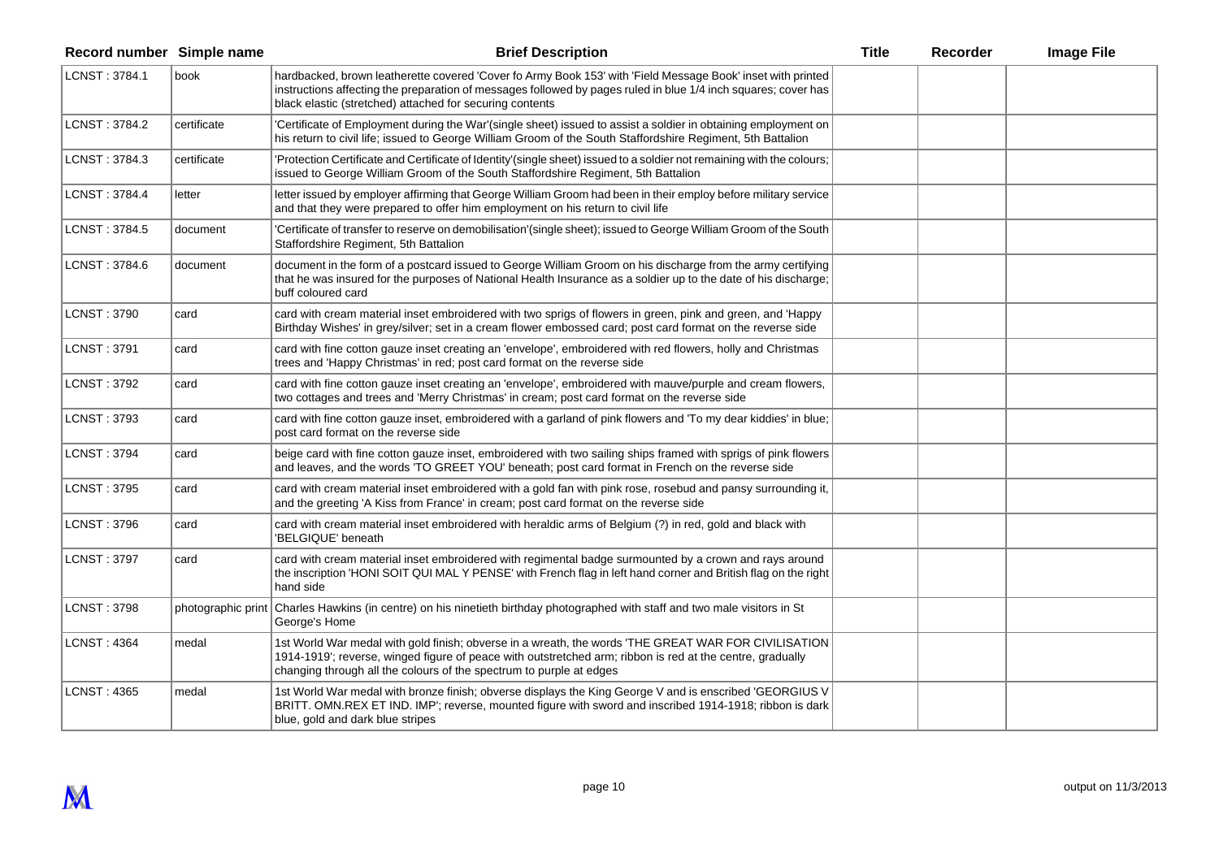| Record number Simple name |                    | <b>Brief Description</b>                                                                                                                                                                                                                                                                  | <b>Title</b> | Recorder | <b>Image File</b> |
|---------------------------|--------------------|-------------------------------------------------------------------------------------------------------------------------------------------------------------------------------------------------------------------------------------------------------------------------------------------|--------------|----------|-------------------|
| LCNST: 3784.1             | book               | hardbacked, brown leatherette covered 'Cover fo Army Book 153' with 'Field Message Book' inset with printed<br>instructions affecting the preparation of messages followed by pages ruled in blue 1/4 inch squares; cover has<br>black elastic (stretched) attached for securing contents |              |          |                   |
| LCNST: 3784.2             | certificate        | 'Certificate of Employment during the War'(single sheet) issued to assist a soldier in obtaining employment on<br>his return to civil life; issued to George William Groom of the South Staffordshire Regiment, 5th Battalion                                                             |              |          |                   |
| LCNST: 3784.3             | certificate        | 'Protection Certificate and Certificate of Identity'(single sheet) issued to a soldier not remaining with the colours;<br>issued to George William Groom of the South Staffordshire Regiment, 5th Battalion                                                                               |              |          |                   |
| LCNST: 3784.4             | letter             | letter issued by employer affirming that George William Groom had been in their employ before military service<br>and that they were prepared to offer him employment on his return to civil life                                                                                         |              |          |                   |
| LCNST: 3784.5             | document           | 'Certificate of transfer to reserve on demobilisation'(single sheet); issued to George William Groom of the South<br>Staffordshire Regiment, 5th Battalion                                                                                                                                |              |          |                   |
| LCNST: 3784.6             | document           | document in the form of a postcard issued to George William Groom on his discharge from the army certifying<br>that he was insured for the purposes of National Health Insurance as a soldier up to the date of his discharge;<br>buff coloured card                                      |              |          |                   |
| <b>LCNST: 3790</b>        | card               | card with cream material inset embroidered with two sprigs of flowers in green, pink and green, and 'Happy<br>Birthday Wishes' in grey/silver; set in a cream flower embossed card; post card format on the reverse side                                                                  |              |          |                   |
| LCNST: 3791               | card               | card with fine cotton gauze inset creating an 'envelope', embroidered with red flowers, holly and Christmas<br>trees and 'Happy Christmas' in red; post card format on the reverse side                                                                                                   |              |          |                   |
| LCNST: 3792               | card               | card with fine cotton gauze inset creating an 'envelope', embroidered with mauve/purple and cream flowers,<br>two cottages and trees and 'Merry Christmas' in cream; post card format on the reverse side                                                                                 |              |          |                   |
| LCNST: 3793               | card               | card with fine cotton gauze inset, embroidered with a garland of pink flowers and 'To my dear kiddies' in blue;<br>post card format on the reverse side                                                                                                                                   |              |          |                   |
| <b>LCNST: 3794</b>        | card               | beige card with fine cotton gauze inset, embroidered with two sailing ships framed with sprigs of pink flowers<br>and leaves, and the words 'TO GREET YOU' beneath; post card format in French on the reverse side                                                                        |              |          |                   |
| <b>LCNST: 3795</b>        | card               | card with cream material inset embroidered with a gold fan with pink rose, rosebud and pansy surrounding it,<br>and the greeting 'A Kiss from France' in cream; post card format on the reverse side                                                                                      |              |          |                   |
| <b>LCNST: 3796</b>        | card               | card with cream material inset embroidered with heraldic arms of Belgium (?) in red, gold and black with<br>'BELGIQUE' beneath                                                                                                                                                            |              |          |                   |
| <b>LCNST: 3797</b>        | card               | card with cream material inset embroidered with regimental badge surmounted by a crown and rays around<br>the inscription 'HONI SOIT QUI MAL Y PENSE' with French flag in left hand corner and British flag on the right<br>hand side                                                     |              |          |                   |
| <b>LCNST: 3798</b>        | photographic print | Charles Hawkins (in centre) on his ninetieth birthday photographed with staff and two male visitors in St<br>George's Home                                                                                                                                                                |              |          |                   |
| <b>LCNST: 4364</b>        | medal              | 1st World War medal with gold finish; obverse in a wreath, the words 'THE GREAT WAR FOR CIVILISATION<br>1914-1919'; reverse, winged figure of peace with outstretched arm; ribbon is red at the centre, gradually<br>changing through all the colours of the spectrum to purple at edges  |              |          |                   |
| <b>LCNST: 4365</b>        | medal              | 1st World War medal with bronze finish; obverse displays the King George V and is enscribed 'GEORGIUS V<br>BRITT. OMN.REX ET IND. IMP'; reverse, mounted figure with sword and inscribed 1914-1918; ribbon is dark<br>blue, gold and dark blue stripes                                    |              |          |                   |